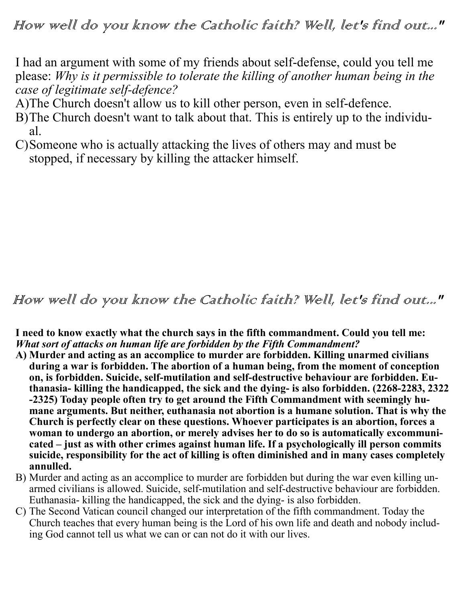I had an argument with some of my friends about self-defense, could you tell me please: *Why is it permissible to tolerate the killing of another human being in the case of legitimate self-defence?*

A)The Church doesn't allow us to kill other person, even in self-defence.

- B)The Church doesn't want to talk about that. This is entirely up to the individual.
- C)Someone who is actually attacking the lives of others may and must be stopped, if necessary by killing the attacker himself.

## How well do you know the Catholic faith? Well, let's find out..."

**I need to know exactly what the church says in the fifth commandment. Could you tell me:**  *What sort of attacks on human life are forbidden by the Fifth Commandment?*

- **A) Murder and acting as an accomplice to murder are forbidden. Killing unarmed civilians during a war is forbidden. The abortion of a human being, from the moment of conception on, is forbidden. Suicide, self-mutilation and self-destructive behaviour are forbidden. Euthanasia- killing the handicapped, the sick and the dying- is also forbidden. (2268-2283, 2322 -2325) Today people often try to get around the Fifth Commandment with seemingly humane arguments. But neither, euthanasia not abortion is a humane solution. That is why the Church is perfectly clear on these questions. Whoever participates is an abortion, forces a woman to undergo an abortion, or merely advises her to do so is automatically excommunicated – just as with other crimes against human life. If a psychologically ill person commits suicide, responsibility for the act of killing is often diminished and in many cases completely annulled.**
- B) Murder and acting as an accomplice to murder are forbidden but during the war even killing unarmed civilians is allowed. Suicide, self-mutilation and self-destructive behaviour are forbidden. Euthanasia- killing the handicapped, the sick and the dying- is also forbidden.
- C) The Second Vatican council changed our interpretation of the fifth commandment. Today the Church teaches that every human being is the Lord of his own life and death and nobody including God cannot tell us what we can or can not do it with our lives.